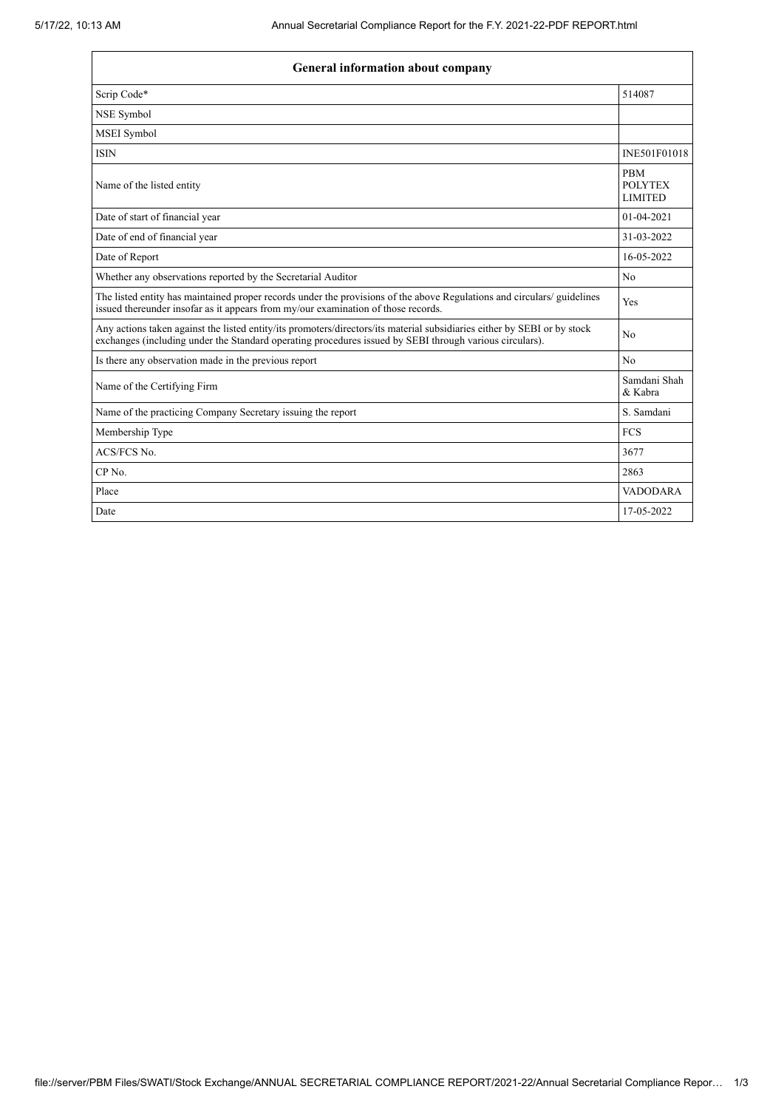| <b>General information about company</b>                                                                                                                                                                                            |                                                |  |  |
|-------------------------------------------------------------------------------------------------------------------------------------------------------------------------------------------------------------------------------------|------------------------------------------------|--|--|
| Scrip Code*                                                                                                                                                                                                                         | 514087                                         |  |  |
| NSE Symbol                                                                                                                                                                                                                          |                                                |  |  |
| <b>MSEI</b> Symbol                                                                                                                                                                                                                  |                                                |  |  |
| <b>ISIN</b>                                                                                                                                                                                                                         | INE501F01018                                   |  |  |
| Name of the listed entity                                                                                                                                                                                                           | <b>PBM</b><br><b>POLYTEX</b><br><b>LIMITED</b> |  |  |
| Date of start of financial year                                                                                                                                                                                                     | $01-04-2021$                                   |  |  |
| Date of end of financial year                                                                                                                                                                                                       | 31-03-2022                                     |  |  |
| Date of Report                                                                                                                                                                                                                      | 16-05-2022                                     |  |  |
| Whether any observations reported by the Secretarial Auditor                                                                                                                                                                        | No                                             |  |  |
| The listed entity has maintained proper records under the provisions of the above Regulations and circulars/ guidelines<br>issued thereunder insofar as it appears from my/our examination of those records.                        | Yes                                            |  |  |
| Any actions taken against the listed entity/its promoters/directors/its material subsidiaries either by SEBI or by stock<br>exchanges (including under the Standard operating procedures issued by SEBI through various circulars). | No                                             |  |  |
| Is there any observation made in the previous report                                                                                                                                                                                | No                                             |  |  |
| Samdani Shah<br>Name of the Certifying Firm<br>& Kabra                                                                                                                                                                              |                                                |  |  |
| Name of the practicing Company Secretary issuing the report                                                                                                                                                                         | S. Samdani                                     |  |  |
| Membership Type                                                                                                                                                                                                                     | <b>FCS</b>                                     |  |  |
| ACS/FCS No.                                                                                                                                                                                                                         | 3677                                           |  |  |
| CP <sub>No.</sub>                                                                                                                                                                                                                   | 2863                                           |  |  |
| Place                                                                                                                                                                                                                               | <b>VADODARA</b>                                |  |  |
| Date                                                                                                                                                                                                                                | 17-05-2022                                     |  |  |